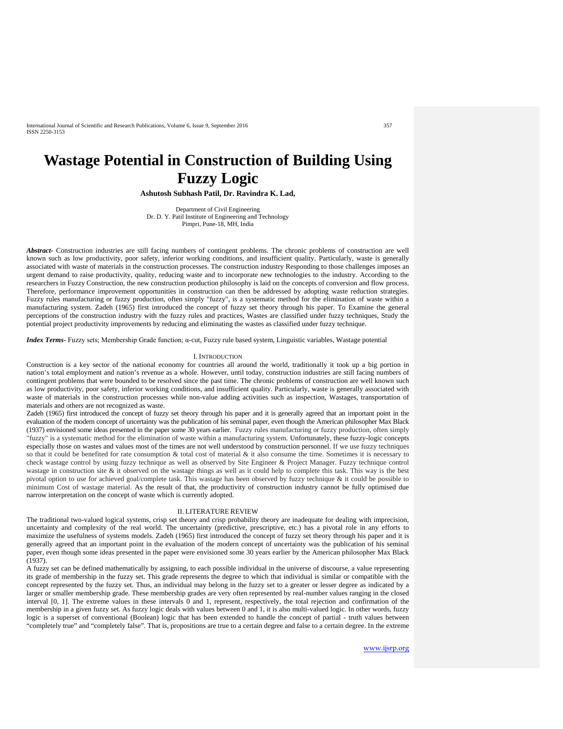International Journal of Scientific and Research Publications, Volume 6, Issue 9, September 2016 357 ISSN 2250-3153

# **Wastage Potential in Construction of Building Using Fuzzy Logic**

**Ashutosh Subhash Patil, Dr. Ravindra K. Lad,**

Department of Civil Engineering Dr. D. Y. Patil Institute of Engineering and Technology Pimpri, Pune-18, MH, India

*Abstract***-** Construction industries are still facing numbers of contingent problems. The chronic problems of construction are well known such as low productivity, poor safety, inferior working conditions, and insufficient quality. Particularly, waste is generally associated with waste of materials in the construction processes. The construction industry Responding to those challenges imposes an urgent demand to raise productivity, quality, reducing waste and to incorporate new technologies to the industry. According to the researchers in Fuzzy Construction, the new construction production philosophy is laid on the concepts of conversion and flow process. Therefore, performance improvement opportunities in construction can then be addressed by adopting waste reduction strategies. Fuzzy rules manufacturing or fuzzy production, often simply "fuzzy", is a systematic method for the elimination of waste within a manufacturing system. Zadeh (1965) first introduced the concept of fuzzy set theory through his paper. To Examine the general perceptions of the construction industry with the fuzzy rules and practices, Wastes are classified under fuzzy techniques, Study the potential project productivity improvements by reducing and eliminating the wastes as classified under fuzzy technique.

*Index Terms*- Fuzzy sets; Membership Grade function; α-cut, Fuzzy rule based system, Linguistic variables, Wastage potential

#### I. INTRODUCTION

Construction is a key sector of the national economy for countries all around the world, traditionally it took up a big portion in nation's total employment and nation's revenue as a whole. However, until today, construction industries are still facing numbers of contingent problems that were bounded to be resolved since the past time. The chronic problems of construction are well known such as low productivity, poor safety, inferior working conditions, and insufficient quality. Particularly, waste is generally associated with waste of materials in the construction processes while non-value adding activities such as inspection, Wastages, transportation of materials and others are not recognized as waste.

Zadeh (1965) first introduced the concept of fuzzy set theory through his paper and it is generally agreed that an important point in the evaluation of the modern concept of uncertainty was the publication of his seminal paper, even though the American philosopher Max Black (1937) envisioned some ideas presented in the paper some 30 years earlier. Fuzzy rules manufacturing or fuzzy production, often simply "fuzzy" is a systematic method for the elimination of waste within a manufacturing system. Unfortunately, these fuzzy-logic concepts especially those on wastes and values most of the times are not well understood by construction personnel. If we use fuzzy techniques so that it could be benefited for rate consumption  $&$  total cost of material  $&$  it also consume the time. Sometimes it is necessary to check wastage control by using fuzzy technique as well as observed by Site Engineer & Project Manager. Fuzzy technique control wastage in construction site & it observed on the wastage things as well as it could help to complete this task. This way is the best pivotal option to use for achieved goal/complete task. This wastage has been observed by fuzzy technique & it could be possible to minimum Cost of wastage material. As the result of that, the productivity of construction industry cannot be fully optimised due narrow interpretation on the concept of waste which is currently adopted.

#### II. LITERATURE REVIEW

The traditional two-valued logical systems, crisp set theory and crisp probability theory are inadequate for dealing with imprecision, uncertainty and complexity of the real world. The uncertainty (predictive, prescriptive, etc.) has a pivotal role in any efforts to maximize the usefulness of systems models. Zadeh (1965) first introduced the concept of fuzzy set theory through his paper and it is generally agreed that an important point in the evaluation of the modern concept of uncertainty was the publication of his seminal paper, even though some ideas presented in the paper were envisioned some 30 years earlier by the American philosopher Max Black (1937).

A fuzzy set can be defined mathematically by assigning, to each possible individual in the universe of discourse, a value representing its grade of membership in the fuzzy set. This grade represents the degree to which that individual is similar or compatible with the concept represented by the fuzzy set. Thus, an individual may belong in the fuzzy set to a greater or lesser degree as indicated by a larger or smaller membership grade. These membership grades are very often represented by real-number values ranging in the closed interval [0, 1]. The extreme values in these intervals 0 and 1, represent, respectively, the total rejection and confirmation of the membership in a given fuzzy set. As fuzzy logic deals with values between 0 and 1, it is also multi-valued logic. In other words, fuzzy logic is a superset of conventional (Boolean) logic that has been extended to handle the concept of partial - truth values between "completely true" and "completely false". That is, propositions are true to a certain degree and false to a certain degree. In the extreme

[www.ijsrp.org](http://ijsrp.org/)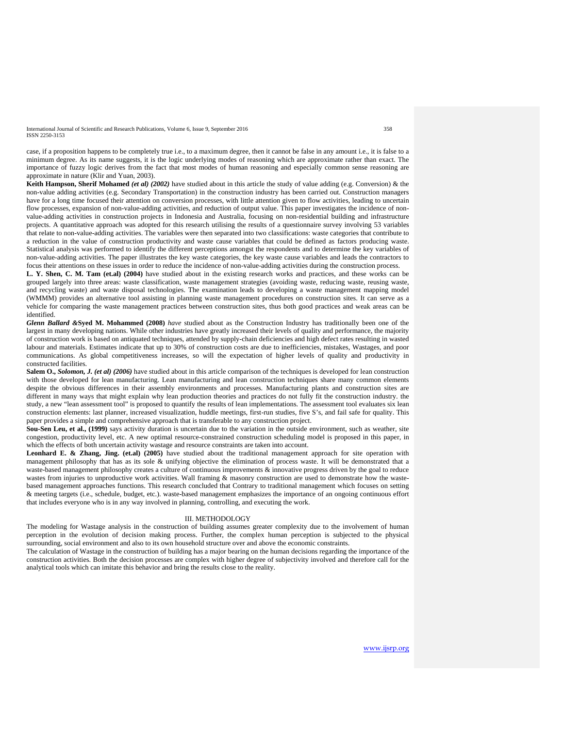International Journal of Scientific and Research Publications, Volume 6, Issue 9, September 2016 358 ISSN 2250-3153

case, if a proposition happens to be completely true i.e., to a maximum degree, then it cannot be false in any amount i.e., it is false to a minimum degree. As its name suggests, it is the logic underlying modes of reasoning which are approximate rather than exact. The importance of fuzzy logic derives from the fact that most modes of human reasoning and especially common sense reasoning are approximate in nature (Klir and Yuan, 2003).

**Keith Hampson, Sherif Mohamed** *(et al) (2002)* have studied about in this article the study of value adding (e.g. Conversion) & the non-value adding activities (e.g. Secondary Transportation) in the construction industry has been carried out. Construction managers have for a long time focused their attention on conversion processes, with little attention given to flow activities, leading to uncertain flow processes, expansion of non-value-adding activities, and reduction of output value. This paper investigates the incidence of nonvalue-adding activities in construction projects in Indonesia and Australia, focusing on non-residential building and infrastructure projects. A quantitative approach was adopted for this research utilising the results of a questionnaire survey involving 53 variables that relate to non-value-adding activities. The variables were then separated into two classifications: waste categories that contribute to a reduction in the value of construction productivity and waste cause variables that could be defined as factors producing waste. Statistical analysis was performed to identify the different perceptions amongst the respondents and to determine the key variables of non-value-adding activities. The paper illustrates the key waste categories, the key waste cause variables and leads the contractors to focus their attentions on these issues in order to reduce the incidence of non-value-adding activities during the construction process.

**L. Y. Shen, C. M. Tam (et.al) (2004)** have studied about in the existing research works and practices, and these works can be grouped largely into three areas: waste classification, waste management strategies (avoiding waste, reducing waste, reusing waste, and recycling waste) and waste disposal technologies. The examination leads to developing a waste management mapping model (WMMM) provides an alternative tool assisting in planning waste management procedures on construction sites. It can serve as a vehicle for comparing the waste management practices between construction sites, thus both good practices and weak areas can be identified.

*Glenn Ballard &***Syed M. Mohammed (2008)** *have* studied about as the Construction Industry has traditionally been one of the largest in many developing nations. While other industries have greatly increased their levels of quality and performance, the majority of construction work is based on antiquated techniques, attended by supply-chain deficiencies and high defect rates resulting in wasted labour and materials. Estimates indicate that up to 30% of construction costs are due to inefficiencies, mistakes, Wastages, and poor communications. As global competitiveness increases, so will the expectation of higher levels of quality and productivity in constructed facilities.

**Salem O.,** *Solomon, J. (et al) (2006)* have studied about in this article comparison of the techniques is developed for lean construction with those developed for lean manufacturing. Lean manufacturing and lean construction techniques share many common elements despite the obvious differences in their assembly environments and processes. Manufacturing plants and construction sites are different in many ways that might explain why lean production theories and practices do not fully fit the construction industry. the study, a new "lean assessment tool" is proposed to quantify the results of lean implementations. The assessment tool evaluates six lean construction elements: last planner, increased visualization, huddle meetings, first-run studies, five S's, and fail safe for quality. This paper provides a simple and comprehensive approach that is transferable to any construction project.

**Sou-Sen Leu, et al., (1999)** says activity duration is uncertain due to the variation in the outside environment, such as weather, site congestion, productivity level, etc. A new optimal resource-constrained construction scheduling model is proposed in this paper, in which the effects of both uncertain activity wastage and resource constraints are taken into account.

**Leonhard E. & Zhang, Jing. (et.al) (2005)** have studied about the traditional management approach for site operation with management philosophy that has as its sole & unifying objective the elimination of process waste. It will be demonstrated that a waste-based management philosophy creates a culture of continuous improvements & innovative progress driven by the goal to reduce wastes from injuries to unproductive work activities. Wall framing & masonry construction are used to demonstrate how the wastebased management approaches functions. This research concluded that Contrary to traditional management which focuses on setting & meeting targets (i.e., schedule, budget, etc.). waste-based management emphasizes the importance of an ongoing continuous effort that includes everyone who is in any way involved in planning, controlling, and executing the work.

#### III. METHODOLOGY

The modeling for Wastage analysis in the construction of building assumes greater complexity due to the involvement of human perception in the evolution of decision making process. Further, the complex human perception is subjected to the physical surrounding, social environment and also to its own household structure over and above the economic constraints.

The calculation of Wastage in the construction of building has a major bearing on the human decisions regarding the importance of the construction activities. Both the decision processes are complex with higher degree of subjectivity involved and therefore call for the analytical tools which can imitate this behavior and bring the results close to the reality.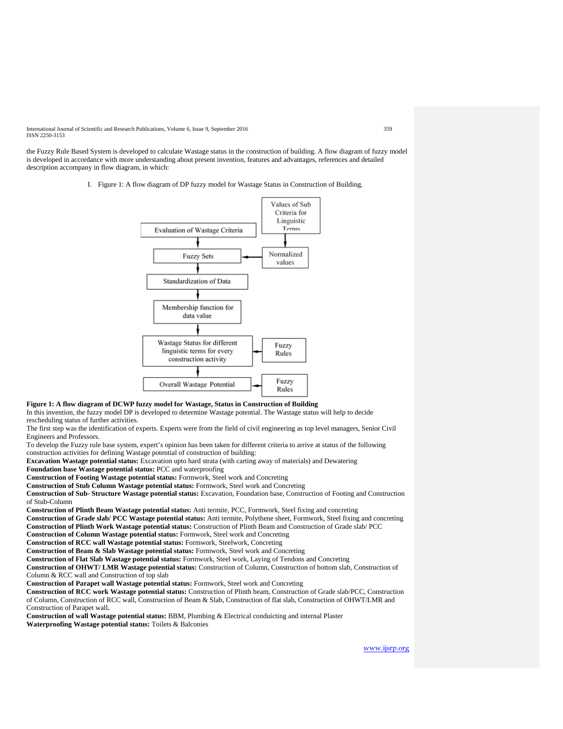International Journal of Scientific and Research Publications, Volume 6, Issue 9, September 2016 359 ISSN 2250-3153

the Fuzzy Rule Based System is developed to calculate Wastage status in the construction of building. A flow diagram of fuzzy model is developed in accordance with more understanding about present invention, features and advantages, references and detailed description accompany in flow diagram, in which:

I. Figure 1: A flow diagram of DP fuzzy model for Wastage Status in Construction of Building.



## **Figure 1: A flow diagram of DCWP fuzzy model for Wastage, Status in Construction of Building**

In this invention, the fuzzy model DP is developed to determine Wastage potential. The Wastage status will help to decide rescheduling status of further activities.

The first step was the identification of experts. Experts were from the field of civil engineering as top level managers, Senior Civil Engineers and Professors.

To develop the Fuzzy rule base system, expert's opinion has been taken for different criteria to arrive at status of the following construction activities for defining Wastage potential of construction of building:

**Excavation Wastage potential status:** Excavation upto hard strata (with carting away of materials) and Dewatering **Foundation base Wastage potential status:** PCC and waterproofing

**Construction of Footing Wastage potential status:** Formwork, Steel work and Concreting

**Construction of Stub Column Wastage potential status:** Formwork, Steel work and Concreting

**Construction of Sub- Structure Wastage potential status:** Excavation, Foundation base, Construction of Footing and Construction of Stub-Column

**Construction of Plinth Beam Wastage potential status:** Anti termite, PCC, Formwork, Steel fixing and concreting **Construction of Grade slab/ PCC Wastage potential status:** Anti termite, Polythene sheet, Formwork, Steel fixing and concreting **Construction of Plinth Work Wastage potential status:** Construction of Plinth Beam and Construction of Grade slab/ PCC

**Construction of Column Wastage potential status:** Formwork, Steel work and Concreting

**Construction of RCC wall Wastage potential status:** Formwork, Steelwork, Concreting

**Construction of Beam & Slab Wastage potential status:** Formwork, Steel work and Concreting

**Construction of Flat Slab Wastage potential status:** Formwork, Steel work, Laying of Tendons and Concreting

**Construction of OHWT/ LMR Wastage potential status:** Construction of Column, Construction of bottom slab, Construction of Column & RCC wall and Construction of top slab

**Construction of Parapet wall Wastage potential status:** Formwork, Steel work and Concreting

**Construction of RCC work Wastage potential status:** Construction of Plinth beam, Construction of Grade slab/PCC, Construction of Column, Construction of RCC wall, Construction of Beam & Slab, Construction of flat slab, Construction of OHWT/LMR and Construction of Parapet wall**.** 

**Construction of wall Wastage potential status:** BBM, Plumbing & Electrical conduicting and internal Plaster

**Waterproofing Wastage potential status:** Toilets & Balconies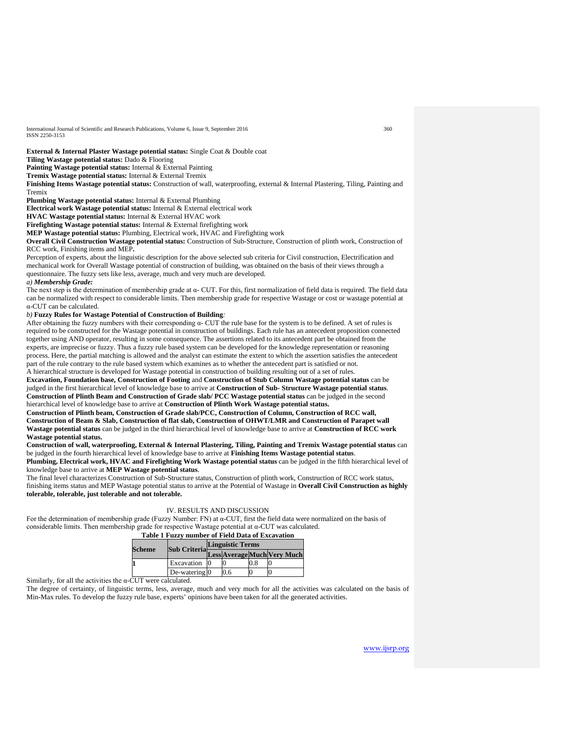International Journal of Scientific and Research Publications, Volume 6, Issue 9, September 2016 360 ISSN 2250-3153

**External & Internal Plaster Wastage potential status:** Single Coat & Double coat

**Tiling Wastage potential status:** Dado & Flooring

Painting Wastage potential status: Internal & External Painting

**Tremix Wastage potential status:** Internal & External Tremix

**Finishing Items Wastage potential status:** Construction of wall, waterproofing, external & Internal Plastering, Tiling, Painting and Tremix

**Plumbing Wastage potential status:** Internal & External Plumbing

**Electrical work Wastage potential status:** Internal & External electrical work

**HVAC Wastage potential status:** Internal & External HVAC work

**Firefighting Wastage potential status:** Internal & External firefighting work

**MEP Wastage potential status:** Plumbing, Electrical work, HVAC and Firefighting work

**Overall Civil Construction Wastage potential status:** Construction of Sub-Structure, Construction of plinth work, Construction of RCC work, Finishing items and MEP**.** 

Perception of experts, about the linguistic description for the above selected sub criteria for Civil construction, Electrification and mechanical work for Overall Wastage potential of construction of building, was obtained on the basis of their views through a questionnaire. The fuzzy sets like less, average, much and very much are developed.

*a) Membership Grade:*

The next step is the determination of membership grade at α- CUT. For this, first normalization of field data is required. The field data can be normalized with respect to considerable limits. Then membership grade for respective Wastage or cost or wastage potential at α-CUT can be calculated.

## *b)* **Fuzzy Rules for Wastage Potential of Construction of Building***:*

After obtaining the fuzzy numbers with their corresponding  $\alpha$ - CUT the rule base for the system is to be defined. A set of rules is required to be constructed for the Wastage potential in construction of buildings. Each rule has an antecedent proposition connected together using AND operator, resulting in some consequence. The assertions related to its antecedent part be obtained from the experts, are imprecise or fuzzy. Thus a fuzzy rule based system can be developed for the knowledge representation or reasoning process. Here, the partial matching is allowed and the analyst can estimate the extent to which the assertion satisfies the antecedent part of the rule contrary to the rule based system which examines as to whether the antecedent part is satisfied or not.

A hierarchical structure is developed for Wastage potential in construction of building resulting out of a set of rules. **Excavation, Foundation base, Construction of Footing** and **Construction of Stub Column Wastage potential status** can be judged in the first hierarchical level of knowledge base to arrive at **Construction of Sub- Structure Wastage potential status**. **Construction of Plinth Beam and Construction of Grade slab/ PCC Wastage potential status** can be judged in the second hierarchical level of knowledge base to arrive at **Construction of Plinth Work Wastage potential status.** 

**Construction of Plinth beam, Construction of Grade slab/PCC, Construction of Column, Construction of RCC wall, Construction of Beam & Slab, Construction of flat slab, Construction of OHWT/LMR and Construction of Parapet wall Wastage potential status** can be judged in the third hierarchical level of knowledge base to arrive at **Construction of RCC work Wastage potential status.** 

**Construction of wall, waterproofing, External & Internal Plastering, Tiling, Painting and Tremix Wastage potential status** can be judged in the fourth hierarchical level of knowledge base to arrive at **Finishing Items Wastage potential status**. **Plumbing, Electrical work, HVAC and Firefighting Work Wastage potential status** can be judged in the fifth hierarchical level of

knowledge base to arrive at **MEP Wastage potential status**. The final level characterizes Construction of Sub-Structure status, Construction of plinth work, Construction of RCC work status, finishing items status and MEP Wastage potential status to arrive at the Potential of Wastage in **Overall Civil Construction as highly tolerable, tolerable, just tolerable and not tolerable.**

#### IV. RESULTS AND DISCUSSION

For the determination of membership grade (Fuzzy Number: FN) at  $\alpha$ -CUT, first the field data were normalized on the basis of considerable limits. Then membership grade for respective Wastage potential at α-CUT was calculated.

**Table 1 Fuzzy number of Field Data of Excavation**

| Scheme | Sub Criteria                | <b>Linguistic Terms</b> |     |     |                             |  |
|--------|-----------------------------|-------------------------|-----|-----|-----------------------------|--|
|        |                             |                         |     |     | Less Average Much Very Much |  |
|        | Excavation                  |                         |     | 0.8 |                             |  |
|        | De-watering $\vert 0 \vert$ |                         | 0.6 |     |                             |  |

Similarly, for all the activities the  $\alpha$ -CUT were calculated.

The degree of certainty, of linguistic terms, less, average, much and very much for all the activities was calculated on the basis of Min-Max rules. To develop the fuzzy rule base, experts' opinions have been taken for all the generated activities.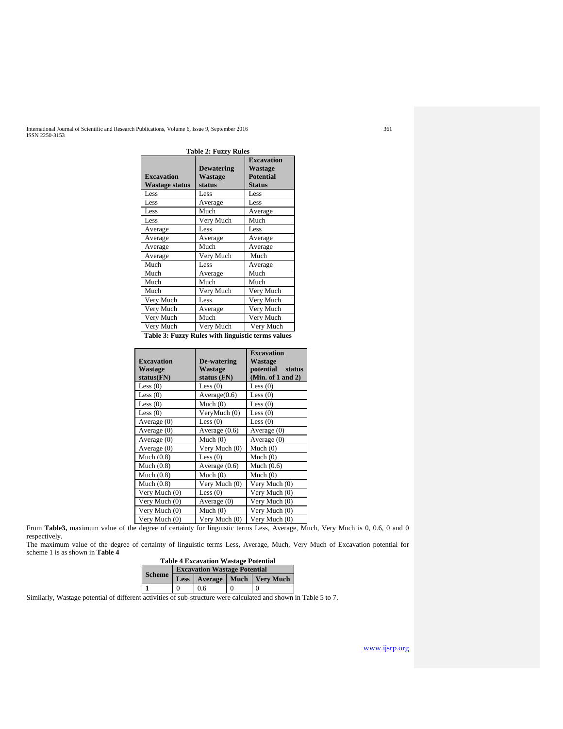International Journal of Scientific and Research Publications, Volume 6, Issue 9, September 2016<br>ISSN 2250-3153

| <b>Table 2: Fuzzy Rules</b>                |                                               |                                                                   |  |  |
|--------------------------------------------|-----------------------------------------------|-------------------------------------------------------------------|--|--|
| <b>Excavation</b><br><b>Wastage status</b> | <b>Dewatering</b><br><b>Wastage</b><br>status | <b>Excavation</b><br>Wastage<br><b>Potential</b><br><b>Status</b> |  |  |
| Less                                       | Less                                          | Less                                                              |  |  |
| Less                                       | Average                                       | Less                                                              |  |  |
| Less                                       | Much                                          | Average                                                           |  |  |
| Less                                       | Very Much                                     | Much                                                              |  |  |
| Average                                    | Less                                          | Less                                                              |  |  |
| Average                                    | Average                                       | Average                                                           |  |  |
| Average                                    | Much                                          | Average                                                           |  |  |
| Average                                    | Very Much                                     | Much                                                              |  |  |
| Much                                       | Less                                          | Average                                                           |  |  |
| Much                                       | Average                                       | Much                                                              |  |  |
| Much                                       | Much                                          | Much                                                              |  |  |
| Much                                       | Very Much                                     | Very Much                                                         |  |  |
| Very Much                                  | Less                                          | Very Much                                                         |  |  |
| Very Much                                  | Average                                       | Very Much                                                         |  |  |
| Very Much                                  | Much                                          | Very Much                                                         |  |  |
| Very Much                                  | Very Much                                     | Very Much                                                         |  |  |

**Table 3: Fuzzy Rules with linguistic terms values**

|                   |                 | <b>Excavation</b>      |  |
|-------------------|-----------------|------------------------|--|
| <b>Excavation</b> | De-watering     | Wastage                |  |
| Wastage           | Wastage         | potential status       |  |
| status(FN)        | status (FN)     | (Min. of $1$ and $2$ ) |  |
| Less $(0)$        | Less $(0)$      | Less $(0)$             |  |
| Less $(0)$        | Average(0.6)    | Less $(0)$             |  |
| Less $(0)$        | Much $(0)$      | Less $(0)$             |  |
| Less $(0)$        | VeryMuch (0)    | Less $(0)$             |  |
| Average $(0)$     | Less $(0)$      | Less $(0)$             |  |
| Average $(0)$     | Average $(0.6)$ | Average $(0)$          |  |
| Average (0)       | Much $(0)$      | Average $(0)$          |  |
| Average $(0)$     | Very Much (0)   | Much $(0)$             |  |
| Much $(0.8)$      | Less $(0)$      | Much $(0)$             |  |
| Much $(0.8)$      | Average $(0.6)$ | Much $(0.6)$           |  |
| Much $(0.8)$      | Much $(0)$      | Much $(0)$             |  |
| Much $(0.8)$      | Very Much (0)   | Very Much (0)          |  |
| Very Much (0)     | Less $(0)$      | Very Much (0)          |  |
| Very Much (0)     | Average (0)     | Very Much (0)          |  |
| Very Much (0)     | Much $(0)$      | Very Much (0)          |  |
| Very Much (0)     | Very Much (0)   | Very Much (0)          |  |

From Table3, maximum value of the degree of certainty for linguistic terms Less, Average, Much, Very Much is 0, 0.6, 0 and 0 respectively.

The maximum value of the degree of certainty of linguistic terms Less, Average, Much, Very Much of Excavation potential for scheme 1 is as shown in **Table 4**

| <b>Table 4 Excavation Wastage Potential</b> |                                     |     |   |                                   |  |
|---------------------------------------------|-------------------------------------|-----|---|-----------------------------------|--|
| <b>Scheme</b>                               | <b>Excavation Wastage Potential</b> |     |   |                                   |  |
|                                             |                                     |     |   | Less   Average   Much   Very Much |  |
|                                             | 0                                   | 0.6 | 0 | 0                                 |  |

Similarly, Wastage potential of different activities of sub-structure were calculated and shown in Table 5 to 7.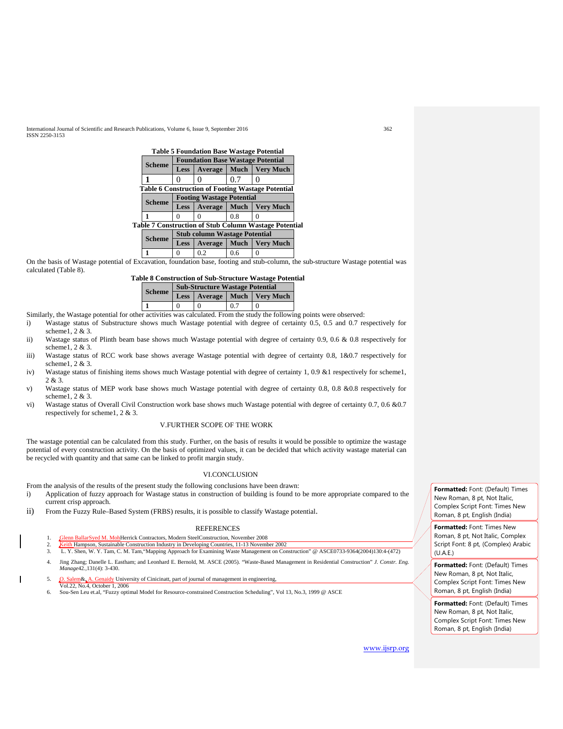International Journal of Scientific and Research Publications, Volume 6, Issue 9, September 2016 362 ISSN 2250-3153

|  | <b>Table 5 Foundation Base Wastage Potential</b>             |                                          |         |             |                  |  |
|--|--------------------------------------------------------------|------------------------------------------|---------|-------------|------------------|--|
|  |                                                              | <b>Foundation Base Wastage Potential</b> |         |             |                  |  |
|  | <b>Scheme</b>                                                | <b>Less</b>                              | Average | <b>Much</b> | <b>Very Much</b> |  |
|  |                                                              |                                          |         | 0.7         |                  |  |
|  | <b>Table 6 Construction of Footing Wastage Potential</b>     |                                          |         |             |                  |  |
|  | <b>Scheme</b>                                                | <b>Footing Wastage Potential</b>         |         |             |                  |  |
|  |                                                              | <b>Less</b>                              | Average | <b>Much</b> | <b>Very Much</b> |  |
|  |                                                              |                                          |         | 08          |                  |  |
|  | <b>Table 7 Construction of Stub Column Wastage Potential</b> |                                          |         |             |                  |  |
|  | <b>Scheme</b>                                                | <b>Stub column Wastage Potential</b>     |         |             |                  |  |
|  |                                                              | <b>Less</b>                              | Average | Much        | <b>Very Much</b> |  |
|  |                                                              |                                          | 02      | 0.6         |                  |  |

On the basis of Wastage potential of Excavation, foundation base, footing and stub-column, the sub-structure Wastage potential was calculated (Table 8).

| <b>Table 8 Construction of Sub-Structure Wastage Potential</b> |  |
|----------------------------------------------------------------|--|
| <b>Sub-Structure Wastage Potential</b>                         |  |

|               | <b>Sub-Structure Wastage Potential</b> |          |     |                                   |  |
|---------------|----------------------------------------|----------|-----|-----------------------------------|--|
| <b>Scheme</b> |                                        |          |     | Less   Average   Much   Very Much |  |
|               |                                        | $\Omega$ | 0.7 | $\theta$                          |  |
|               |                                        |          |     |                                   |  |

Similarly, the Wastage potential for other activities was calculated. From the study the following points were observed:<br>i) Wastage status of Substructure shows much Wastage potential with degree of certainty 0.5, 0.5 and

- Wastage status of Substructure shows much Wastage potential with degree of certainty 0.5, 0.5 and 0.7 respectively for scheme1, 2 & 3.
- ii) Wastage status of Plinth beam base shows much Wastage potential with degree of certainty 0.9, 0.6 & 0.8 respectively for scheme1, 2 & 3.
- iii) Wastage status of RCC work base shows average Wastage potential with degree of certainty 0.8, 1&0.7 respectively for scheme1, 2 & 3.
- iv) Wastage status of finishing items shows much Wastage potential with degree of certainty 1, 0.9 &1 respectively for scheme1, 2 & 3.
- v) Wastage status of MEP work base shows much Wastage potential with degree of certainty 0.8, 0.8 &0.8 respectively for scheme1, 2 & 3.
- vi) Wastage status of Overall Civil Construction work base shows much Wastage potential with degree of certainty 0.7, 0.6 &0.7 respectively for scheme1, 2 & 3.

## V.FURTHER SCOPE OF THE WORK

The wastage potential can be calculated from this study. Further, on the basis of results it would be possible to optimize the wastage potential of every construction activity. On the basis of optimized values, it can be decided that which activity wastage material can be recycled with quantity and that same can be linked to profit margin study.

### VI.CONCLUSION

From the analysis of the results of the present study the following conclusions have been drawn:

- i) Application of fuzzy approach for Wastage status in construction of building is found to be more appropriate compared to the current crisp approach.
- ii) From the Fuzzy Rule–Based System (FRBS) results, it is possible to classify Wastage potential.

#### REFERENCES

- 1. Glenn BallarSyed M. MohHerrick Contractors, Modern SteelConstruction, November 2008
- 2. Keith Hampson, Sustainable Construction Industry in Developing Countries, 11-13 November 2002<br>2. J. Y. Shen, W. Y. Tam. C. M. Tam. "Manning Approach for Examining Waste Management on Con 3. L. Y. Shen, W. Y. Tam, C. M. Tam,"Mapping Approach for Examining Waste Management on Construction" @ ASCE0733-9364(2004)130:4-(472)
- 4. Jing Zhang; Danelle L. Eastham; and Leonhard E. Bernold, M. ASCE (2005). "Waste-Based Management in Residential Construction" *J. Constr. Eng. Manage*42*.,*131(4): 3-430.
- 5. O. Salem&, A. Genaidy University of Cinicinatt, part of journal of management in engineering, Vol.22, No.4, October 1, 2006
- 6. Sou-Sen Leu et.al, "Fuzzy optimal Model for Resource-constrained Construction Scheduling", Vol 13, No.3, 1999 @ ASCE

**Formatted:** Font: (Default) Times New Roman, 8 pt, Not Italic, Complex Script Font: Times New Roman, 8 pt, English (India)

**Formatted:** Font: Times New Roman, 8 pt, Not Italic, Complex Script Font: 8 pt, (Complex) Arabic  $(II A F)$ 

**Formatted:** Font: (Default) Times New Roman, 8 pt, Not Italic, Complex Script Font: Times New Roman, 8 pt, English (India)

**Formatted:** Font: (Default) Times New Roman, 8 pt, Not Italic, Complex Script Font: Times New Roman, 8 pt, English (India)

[www.ijsrp.org](http://ijsrp.org/)